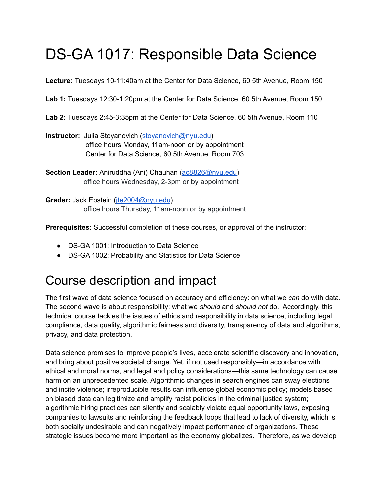# DS-GA 1017: Responsible Data Science

**Lecture:** Tuesdays 10-11:40am at the Center for Data Science, 60 5th Avenue, Room 150

**Lab 1:** Tuesdays 12:30-1:20pm at the Center for Data Science, 60 5th Avenue, Room 150

**Lab 2:** Tuesdays 2:45-3:35pm at the Center for Data Science, 60 5th Avenue, Room 110

**Instructor:** Julia Stoyanovich [\(stoyanovich@nyu.edu\)](mailto:stoyanovich@nyu.edu) office hours Monday, 11am-noon or by appointment Center for Data Science, 60 5th Avenue, Room 703

**Section Leader:** Aniruddha (Ani) Chauhan [\(ac8826@nyu.edu\)](mailto:ac8826@nyu.edu) office hours Wednesday, 2-3pm or by appointment

**Grader:** Jack Epstein ([jte2004@nyu.edu](mailto:jte2004@nyu.edu)) office hours Thursday, 11am-noon or by appointment

**Prerequisites:** Successful completion of these courses, or approval of the instructor:

- DS-GA 1001: Introduction to Data Science
- DS-GA 1002: Probability and Statistics for Data Science

#### Course description and impact

The first wave of data science focused on accuracy and efficiency: on what we *can* do with data. The second wave is about responsibility: what we *should* and *should not* do. Accordingly, this technical course tackles the issues of ethics and responsibility in data science, including legal compliance, data quality, algorithmic fairness and diversity, transparency of data and algorithms, privacy, and data protection.

Data science promises to improve people's lives, accelerate scientific discovery and innovation, and bring about positive societal change. Yet, if not used responsibly—in accordance with ethical and moral norms, and legal and policy considerations—this same technology can cause harm on an unprecedented scale. Algorithmic changes in search engines can sway elections and incite violence; irreproducible results can influence global economic policy; models based on biased data can legitimize and amplify racist policies in the criminal justice system; algorithmic hiring practices can silently and scalably violate equal opportunity laws, exposing companies to lawsuits and reinforcing the feedback loops that lead to lack of diversity, which is both socially undesirable and can negatively impact performance of organizations. These strategic issues become more important as the economy globalizes. Therefore, as we develop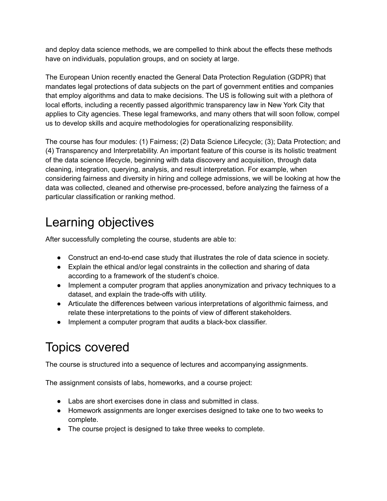and deploy data science methods, we are compelled to think about the effects these methods have on individuals, population groups, and on society at large.

The European Union recently enacted the General Data Protection Regulation (GDPR) that mandates legal protections of data subjects on the part of government entities and companies that employ algorithms and data to make decisions. The US is following suit with a plethora of local efforts, including a recently passed algorithmic transparency law in New York City that applies to City agencies. These legal frameworks, and many others that will soon follow, compel us to develop skills and acquire methodologies for operationalizing responsibility.

The course has four modules: (1) Fairness; (2) Data Science Lifecycle; (3); Data Protection; and (4) Transparency and Interpretability. An important feature of this course is its holistic treatment of the data science lifecycle, beginning with data discovery and acquisition, through data cleaning, integration, querying, analysis, and result interpretation. For example, when considering fairness and diversity in hiring and college admissions, we will be looking at how the data was collected, cleaned and otherwise pre-processed, before analyzing the fairness of a particular classification or ranking method.

## Learning objectives

After successfully completing the course, students are able to:

- Construct an end-to-end case study that illustrates the role of data science in society.
- Explain the ethical and/or legal constraints in the collection and sharing of data according to a framework of the student's choice.
- Implement a computer program that applies anonymization and privacy techniques to a dataset, and explain the trade-offs with utility.
- Articulate the differences between various interpretations of algorithmic fairness, and relate these interpretations to the points of view of different stakeholders.
- Implement a computer program that audits a black-box classifier.

## Topics covered

The course is structured into a sequence of lectures and accompanying assignments.

The assignment consists of labs, homeworks, and a course project:

- Labs are short exercises done in class and submitted in class.
- Homework assignments are longer exercises designed to take one to two weeks to complete.
- The course project is designed to take three weeks to complete.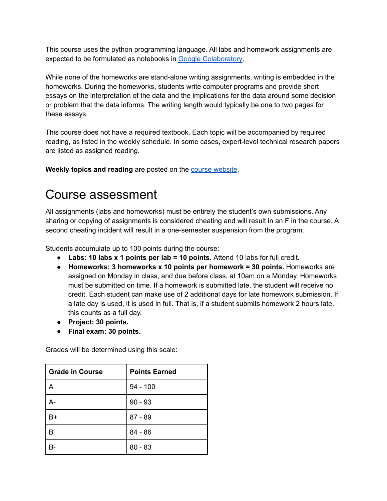This course uses the python programming language. All labs and homework assignments are expected to be formulated as notebooks in Google [Colaboratory.](https://colab.research.google.com/notebooks/intro.ipynb)

While none of the homeworks are stand-alone writing assignments, writing is embedded in the homeworks. During the homeworks, students write computer programs and provide short essays on the interpretation of the data and the implications for the data around some decision or problem that the data informs. The writing length would typically be one to two pages for these essays.

This course does not have a required textbook. Each topic will be accompanied by required reading, as listed in the weekly schedule. In some cases, expert-level technical research papers are listed as assigned reading.

**Weekly topics and reading** are posted on the course [website](https://dataresponsibly.github.io/rds/).

#### Course assessment

All assignments (labs and homeworks) must be entirely the student's own submissions. Any sharing or copying of assignments is considered cheating and will result in an F in the course. A second cheating incident will result in a one-semester suspension from the program.

Students accumulate up to 100 points during the course:

- **Labs: 10 labs x 1 points per lab = 10 points.** Attend 10 labs for full credit.
- **Homeworks: 3 homeworks x 10 points per homework = 30 points.** Homeworks are assigned on Monday in class, and due before class, at 10am on a Monday. Homeworks must be submitted on time. If a homework is submitted late, the student will receive no credit. Each student can make use of 2 additional days for late homework submission. If a late day is used, it is used in full. That is, if a student submits homework 2 hours late, this counts as a full day.
- **Project: 30 points.**
- **● Final exam: 30 points.**

Grades will be determined using this scale:

| l Grade in Course | <b>Points Earned</b> |
|-------------------|----------------------|
| А                 | $94 - 100$           |
| A-                | $90 - 93$            |
| В+                | $87 - 89$            |
| B                 | $84 - 86$            |
|                   | $80 - 83$            |